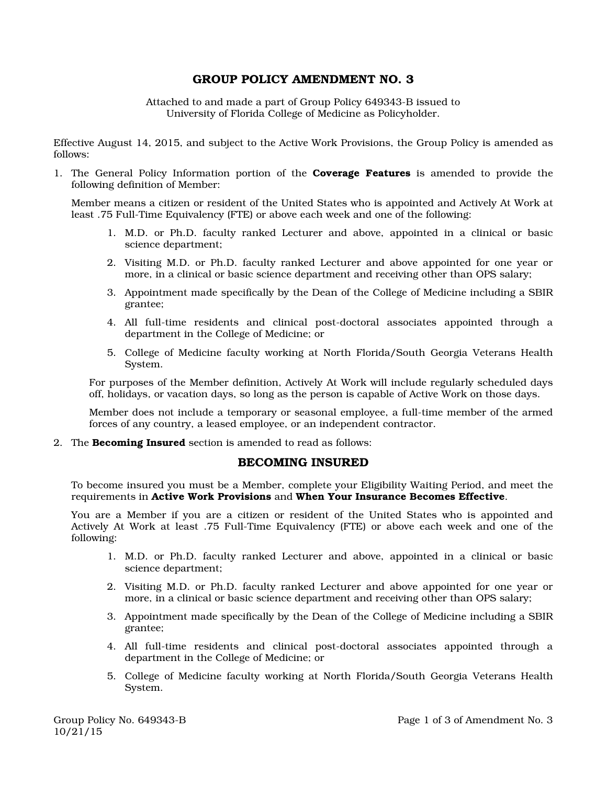## GROUP POLICY AMENDMENT NO. 3

Attached to and made a part of Group Policy 649343-B issued to University of Florida College of Medicine as Policyholder.

Effective August 14, 2015, and subject to the Active Work Provisions, the Group Policy is amended as follows:

1. The General Policy Information portion of the **Coverage Features** is amended to provide the following definition of Member:

Member means a citizen or resident of the United States who is appointed and Actively At Work at least .75 Full-Time Equivalency (FTE) or above each week and one of the following:

- 1. M.D. or Ph.D. faculty ranked Lecturer and above, appointed in a clinical or basic science department;
- 2. Visiting M.D. or Ph.D. faculty ranked Lecturer and above appointed for one year or more, in a clinical or basic science department and receiving other than OPS salary;
- 3. Appointment made specifically by the Dean of the College of Medicine including a SBIR grantee;
- 4. All full-time residents and clinical post-doctoral associates appointed through a department in the College of Medicine; or
- 5. College of Medicine faculty working at North Florida/South Georgia Veterans Health System.

For purposes of the Member definition, Actively At Work will include regularly scheduled days off, holidays, or vacation days, so long as the person is capable of Active Work on those days.

Member does not include a temporary or seasonal employee, a full-time member of the armed forces of any country, a leased employee, or an independent contractor.

2. The **Becoming Insured** section is amended to read as follows:

## BECOMING INSURED

To become insured you must be a Member, complete your Eligibility Waiting Period, and meet the requirements in Active Work Provisions and When Your Insurance Becomes Effective.

You are a Member if you are a citizen or resident of the United States who is appointed and Actively At Work at least .75 Full-Time Equivalency (FTE) or above each week and one of the following:

- 1. M.D. or Ph.D. faculty ranked Lecturer and above, appointed in a clinical or basic science department;
- 2. Visiting M.D. or Ph.D. faculty ranked Lecturer and above appointed for one year or more, in a clinical or basic science department and receiving other than OPS salary;
- 3. Appointment made specifically by the Dean of the College of Medicine including a SBIR grantee;
- 4. All full-time residents and clinical post-doctoral associates appointed through a department in the College of Medicine; or
- 5. College of Medicine faculty working at North Florida/South Georgia Veterans Health System.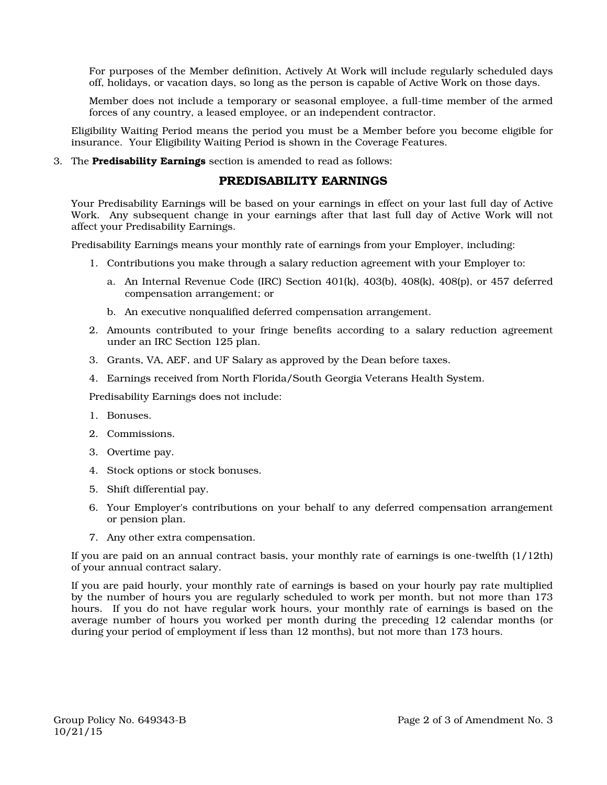For purposes of the Member definition, Actively At Work will include regularly scheduled days off, holidays, or vacation days, so long as the person is capable of Active Work on those days.

Member does not include a temporary or seasonal employee, a full-time member of the armed forces of any country, a leased employee, or an independent contractor.

Eligibility Waiting Period means the period you must be a Member before you become eligible for insurance. Your Eligibility Waiting Period is shown in the Coverage Features.

3. The Predisability Earnings section is amended to read as follows:

## PREDISABILITY EARNINGS

Your Predisability Earnings will be based on your earnings in effect on your last full day of Active Work. Any subsequent change in your earnings after that last full day of Active Work will not affect your Predisability Earnings.

Predisability Earnings means your monthly rate of earnings from your Employer, including:

- 1. Contributions you make through a salary reduction agreement with your Employer to:
	- a. An Internal Revenue Code (IRC) Section 401(k), 403(b), 408(k), 408(p), or 457 deferred compensation arrangement; or
	- b. An executive nonqualified deferred compensation arrangement.
- 2. Amounts contributed to your fringe benefits according to a salary reduction agreement under an IRC Section 125 plan.
- 3. Grants, VA, AEF, and UF Salary as approved by the Dean before taxes.
- 4. Earnings received from North Florida/South Georgia Veterans Health System.

Predisability Earnings does not include:

- 1. Bonuses.
- 2. Commissions.
- 3. Overtime pay.
- 4. Stock options or stock bonuses.
- 5. Shift differential pay.
- 6. Your Employer's contributions on your behalf to any deferred compensation arrangement or pension plan.
- 7. Any other extra compensation.

If you are paid on an annual contract basis, your monthly rate of earnings is one-twelfth (1/12th) of your annual contract salary.

If you are paid hourly, your monthly rate of earnings is based on your hourly pay rate multiplied by the number of hours you are regularly scheduled to work per month, but not more than 173 hours. If you do not have regular work hours, your monthly rate of earnings is based on the average number of hours you worked per month during the preceding 12 calendar months (or during your period of employment if less than 12 months), but not more than 173 hours.